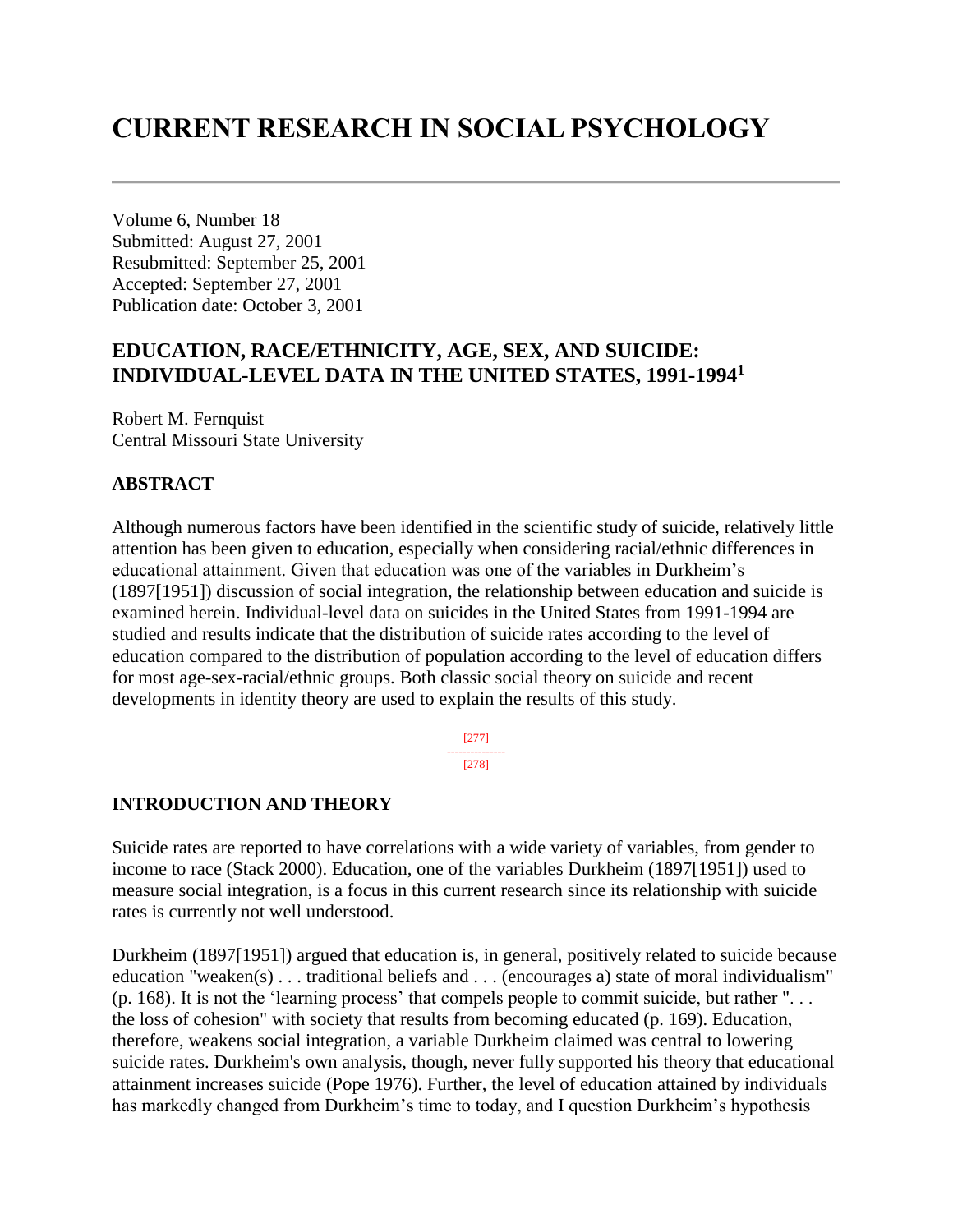# **CURRENT RESEARCH IN SOCIAL PSYCHOLOGY**

Volume 6, Number 18 Submitted: August 27, 2001 Resubmitted: September 25, 2001 Accepted: September 27, 2001 Publication date: October 3, 2001

# **EDUCATION, RACE/ETHNICITY, AGE, SEX, AND SUICIDE: INDIVIDUAL-LEVEL DATA IN THE UNITED STATES, 1991-1994<sup>1</sup>**

Robert M. Fernquist Central Missouri State University

## **ABSTRACT**

Although numerous factors have been identified in the scientific study of suicide, relatively little attention has been given to education, especially when considering racial/ethnic differences in educational attainment. Given that education was one of the variables in Durkheim's (1897[1951]) discussion of social integration, the relationship between education and suicide is examined herein. Individual-level data on suicides in the United States from 1991-1994 are studied and results indicate that the distribution of suicide rates according to the level of education compared to the distribution of population according to the level of education differs for most age-sex-racial/ethnic groups. Both classic social theory on suicide and recent developments in identity theory are used to explain the results of this study.

> [277] --------------- [278]

## **INTRODUCTION AND THEORY**

Suicide rates are reported to have correlations with a wide variety of variables, from gender to income to race (Stack 2000). Education, one of the variables Durkheim (1897[1951]) used to measure social integration, is a focus in this current research since its relationship with suicide rates is currently not well understood.

Durkheim (1897[1951]) argued that education is, in general, positively related to suicide because education "weaken(s) . . . traditional beliefs and . . . (encourages a) state of moral individualism" (p. 168). It is not the 'learning process' that compels people to commit suicide, but rather ". . . the loss of cohesion" with society that results from becoming educated (p. 169). Education, therefore, weakens social integration, a variable Durkheim claimed was central to lowering suicide rates. Durkheim's own analysis, though, never fully supported his theory that educational attainment increases suicide (Pope 1976). Further, the level of education attained by individuals has markedly changed from Durkheim's time to today, and I question Durkheim's hypothesis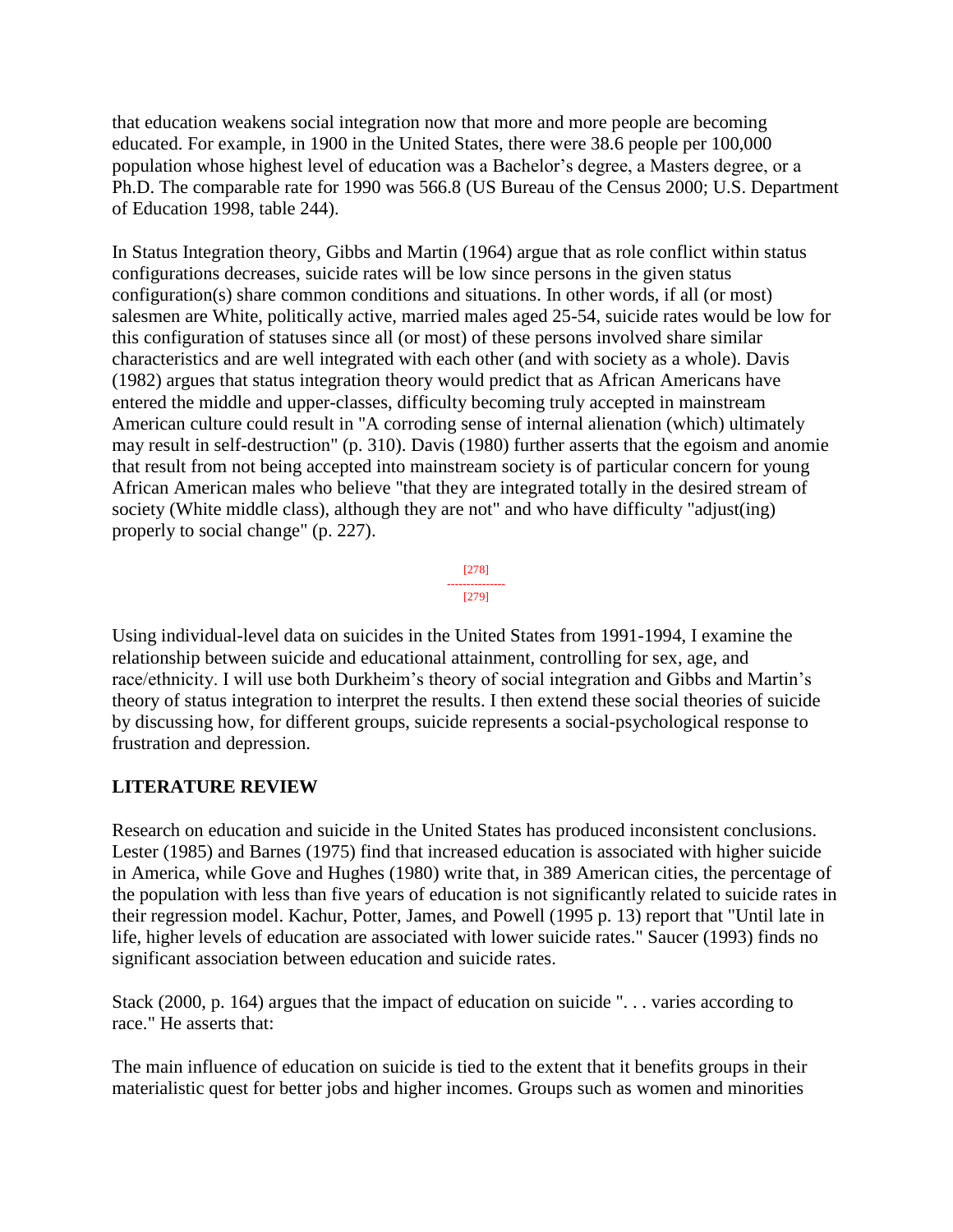that education weakens social integration now that more and more people are becoming educated. For example, in 1900 in the United States, there were 38.6 people per 100,000 population whose highest level of education was a Bachelor's degree, a Masters degree, or a Ph.D. The comparable rate for 1990 was 566.8 (US Bureau of the Census 2000; U.S. Department of Education 1998, table 244).

In Status Integration theory, Gibbs and Martin (1964) argue that as role conflict within status configurations decreases, suicide rates will be low since persons in the given status configuration(s) share common conditions and situations. In other words, if all (or most) salesmen are White, politically active, married males aged 25-54, suicide rates would be low for this configuration of statuses since all (or most) of these persons involved share similar characteristics and are well integrated with each other (and with society as a whole). Davis (1982) argues that status integration theory would predict that as African Americans have entered the middle and upper-classes, difficulty becoming truly accepted in mainstream American culture could result in "A corroding sense of internal alienation (which) ultimately may result in self-destruction" (p. 310). Davis (1980) further asserts that the egoism and anomie that result from not being accepted into mainstream society is of particular concern for young African American males who believe "that they are integrated totally in the desired stream of society (White middle class), although they are not" and who have difficulty "adjust(ing) properly to social change" (p. 227).



Using individual-level data on suicides in the United States from 1991-1994, I examine the relationship between suicide and educational attainment, controlling for sex, age, and race/ethnicity. I will use both Durkheim's theory of social integration and Gibbs and Martin's theory of status integration to interpret the results. I then extend these social theories of suicide by discussing how, for different groups, suicide represents a social-psychological response to frustration and depression.

# **LITERATURE REVIEW**

Research on education and suicide in the United States has produced inconsistent conclusions. Lester (1985) and Barnes (1975) find that increased education is associated with higher suicide in America, while Gove and Hughes (1980) write that, in 389 American cities, the percentage of the population with less than five years of education is not significantly related to suicide rates in their regression model. Kachur, Potter, James, and Powell (1995 p. 13) report that "Until late in life, higher levels of education are associated with lower suicide rates." Saucer (1993) finds no significant association between education and suicide rates.

Stack (2000, p. 164) argues that the impact of education on suicide ". . . varies according to race." He asserts that:

The main influence of education on suicide is tied to the extent that it benefits groups in their materialistic quest for better jobs and higher incomes. Groups such as women and minorities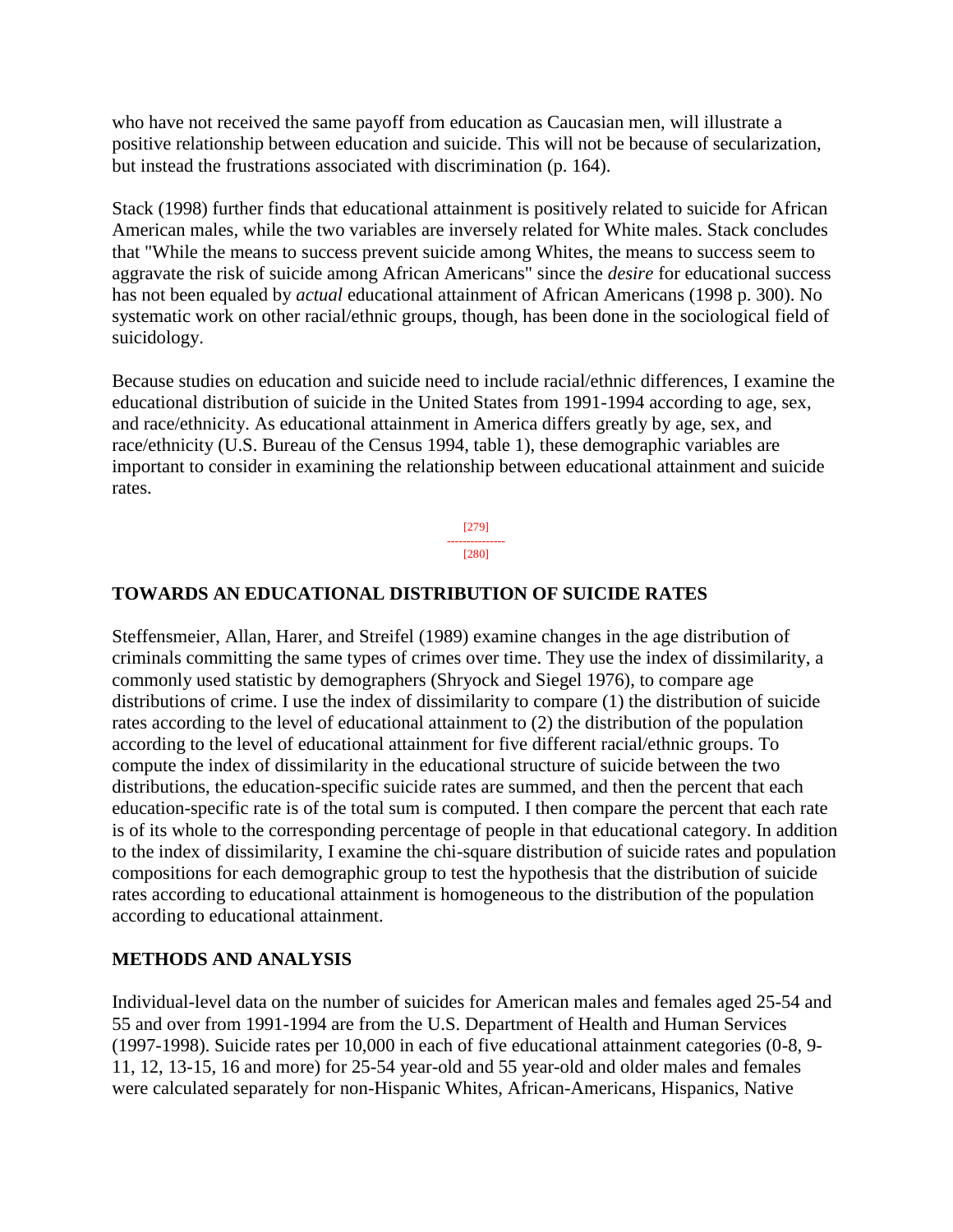who have not received the same payoff from education as Caucasian men, will illustrate a positive relationship between education and suicide. This will not be because of secularization, but instead the frustrations associated with discrimination (p. 164).

Stack (1998) further finds that educational attainment is positively related to suicide for African American males, while the two variables are inversely related for White males. Stack concludes that "While the means to success prevent suicide among Whites, the means to success seem to aggravate the risk of suicide among African Americans" since the *desire* for educational success has not been equaled by *actual* educational attainment of African Americans (1998 p. 300). No systematic work on other racial/ethnic groups, though, has been done in the sociological field of suicidology.

Because studies on education and suicide need to include racial/ethnic differences, I examine the educational distribution of suicide in the United States from 1991-1994 according to age, sex, and race/ethnicity. As educational attainment in America differs greatly by age, sex, and race/ethnicity (U.S. Bureau of the Census 1994, table 1), these demographic variables are important to consider in examining the relationship between educational attainment and suicide rates.

> [279] --------------- [280]

## **TOWARDS AN EDUCATIONAL DISTRIBUTION OF SUICIDE RATES**

Steffensmeier, Allan, Harer, and Streifel (1989) examine changes in the age distribution of criminals committing the same types of crimes over time. They use the index of dissimilarity, a commonly used statistic by demographers (Shryock and Siegel 1976), to compare age distributions of crime. I use the index of dissimilarity to compare (1) the distribution of suicide rates according to the level of educational attainment to (2) the distribution of the population according to the level of educational attainment for five different racial/ethnic groups. To compute the index of dissimilarity in the educational structure of suicide between the two distributions, the education-specific suicide rates are summed, and then the percent that each education-specific rate is of the total sum is computed. I then compare the percent that each rate is of its whole to the corresponding percentage of people in that educational category. In addition to the index of dissimilarity, I examine the chi-square distribution of suicide rates and population compositions for each demographic group to test the hypothesis that the distribution of suicide rates according to educational attainment is homogeneous to the distribution of the population according to educational attainment.

## **METHODS AND ANALYSIS**

Individual-level data on the number of suicides for American males and females aged 25-54 and 55 and over from 1991-1994 are from the U.S. Department of Health and Human Services (1997-1998). Suicide rates per 10,000 in each of five educational attainment categories (0-8, 9- 11, 12, 13-15, 16 and more) for 25-54 year-old and 55 year-old and older males and females were calculated separately for non-Hispanic Whites, African-Americans, Hispanics, Native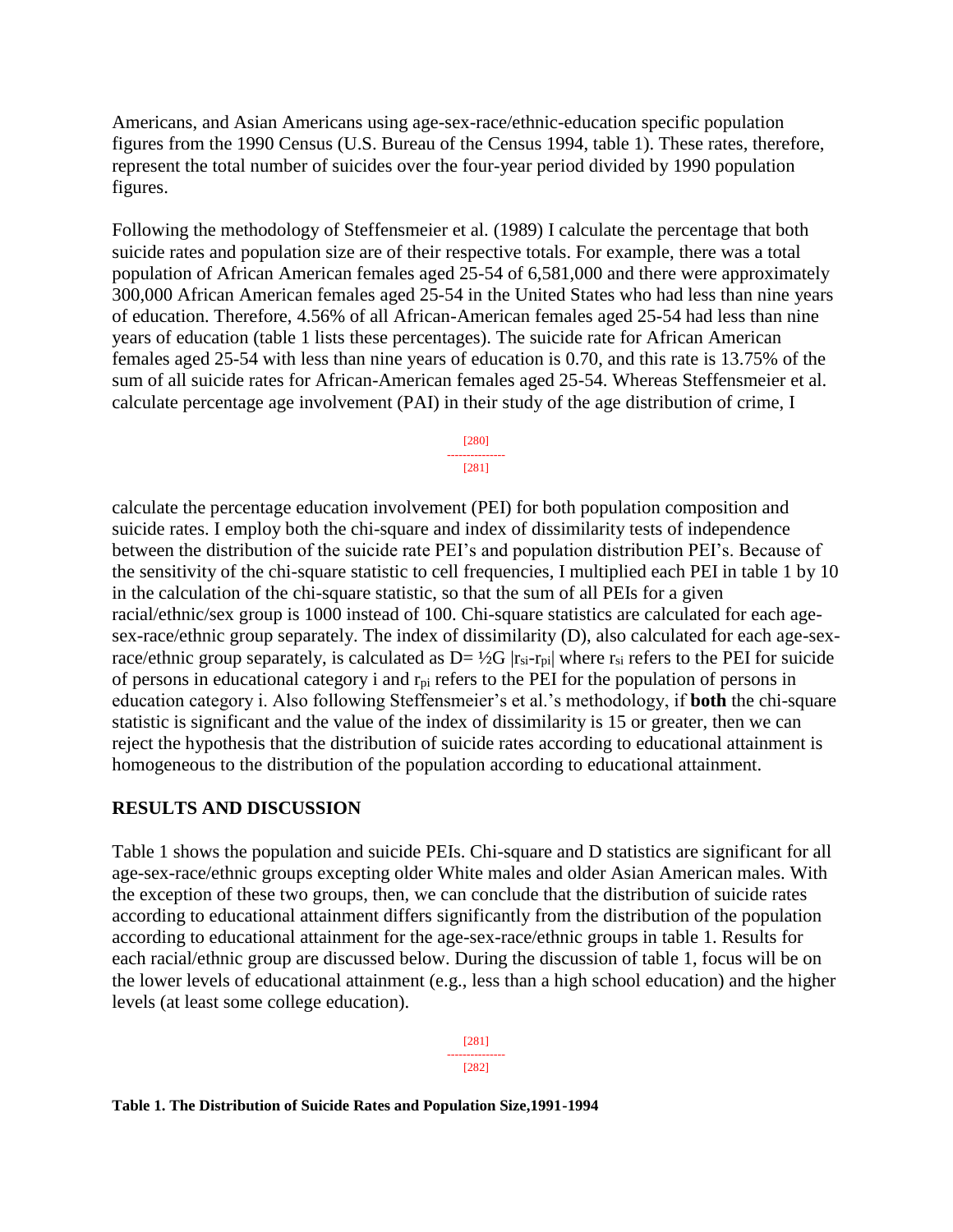Americans, and Asian Americans using age-sex-race/ethnic-education specific population figures from the 1990 Census (U.S. Bureau of the Census 1994, table 1). These rates, therefore, represent the total number of suicides over the four-year period divided by 1990 population figures.

Following the methodology of Steffensmeier et al. (1989) I calculate the percentage that both suicide rates and population size are of their respective totals. For example, there was a total population of African American females aged 25-54 of 6,581,000 and there were approximately 300,000 African American females aged 25-54 in the United States who had less than nine years of education. Therefore, 4.56% of all African-American females aged 25-54 had less than nine years of education (table 1 lists these percentages). The suicide rate for African American females aged 25-54 with less than nine years of education is 0.70, and this rate is 13.75% of the sum of all suicide rates for African-American females aged 25-54. Whereas Steffensmeier et al. calculate percentage age involvement (PAI) in their study of the age distribution of crime, I

> [280] --------------- [281]

calculate the percentage education involvement (PEI) for both population composition and suicide rates. I employ both the chi-square and index of dissimilarity tests of independence between the distribution of the suicide rate PEI's and population distribution PEI's. Because of the sensitivity of the chi-square statistic to cell frequencies, I multiplied each PEI in table 1 by 10 in the calculation of the chi-square statistic, so that the sum of all PEIs for a given racial/ethnic/sex group is 1000 instead of 100. Chi-square statistics are calculated for each agesex-race/ethnic group separately. The index of dissimilarity (D), also calculated for each age-sexrace/ethnic group separately, is calculated as  $D = \frac{1}{2}G |r_{si}-r_{pi}|$  where  $r_{si}$  refers to the PEI for suicide of persons in educational category i and  $r_{pi}$  refers to the PEI for the population of persons in education category i. Also following Steffensmeier's et al.'s methodology, if **both** the chi-square statistic is significant and the value of the index of dissimilarity is 15 or greater, then we can reject the hypothesis that the distribution of suicide rates according to educational attainment is homogeneous to the distribution of the population according to educational attainment.

## **RESULTS AND DISCUSSION**

Table 1 shows the population and suicide PEIs. Chi-square and D statistics are significant for all age-sex-race/ethnic groups excepting older White males and older Asian American males. With the exception of these two groups, then, we can conclude that the distribution of suicide rates according to educational attainment differs significantly from the distribution of the population according to educational attainment for the age-sex-race/ethnic groups in table 1. Results for each racial/ethnic group are discussed below. During the discussion of table 1, focus will be on the lower levels of educational attainment (e.g., less than a high school education) and the higher levels (at least some college education).

> [281] --------------- [282]

**Table 1. The Distribution of Suicide Rates and Population Size,1991-1994**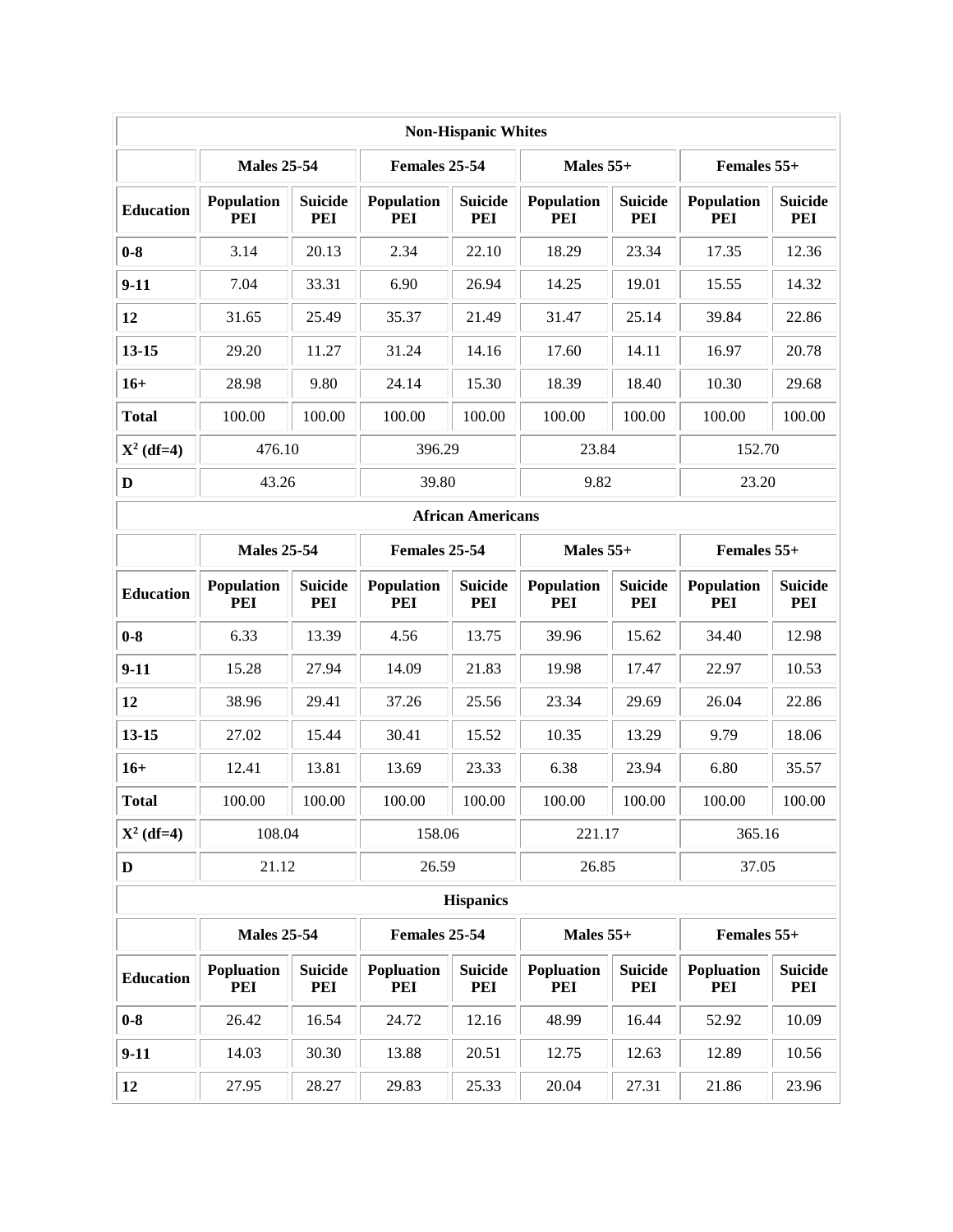| <b>Non-Hispanic Whites</b> |                    |                                     |                          |                          |                          |                       |                   |                       |  |  |  |
|----------------------------|--------------------|-------------------------------------|--------------------------|--------------------------|--------------------------|-----------------------|-------------------|-----------------------|--|--|--|
|                            | <b>Males 25-54</b> |                                     | Females 25-54            |                          | Males $55+$              |                       | Females 55+       |                       |  |  |  |
| <b>Education</b>           | Population<br>PEI  | <b>Suicide</b><br>PEI               | Population<br><b>PEI</b> | <b>Suicide</b><br>PEI    | Population<br>PEI        | <b>Suicide</b><br>PEI | Population<br>PEI | <b>Suicide</b><br>PEI |  |  |  |
| $0-8$                      | 3.14               | 20.13                               | 2.34                     | 22.10                    | 18.29                    | 23.34                 | 17.35             | 12.36                 |  |  |  |
| $9-11$                     | 7.04               | 33.31                               | 6.90                     | 26.94                    | 14.25                    | 19.01                 | 15.55             | 14.32                 |  |  |  |
| 12                         | 31.65              | 25.49                               | 35.37                    | 21.49                    | 31.47                    | 25.14                 | 39.84             | 22.86                 |  |  |  |
| $13 - 15$                  | 29.20              | 11.27                               | 31.24                    | 14.16                    | 17.60                    | 14.11                 | 16.97             | 20.78                 |  |  |  |
| $16+$                      | 28.98              | 9.80                                | 24.14                    | 15.30                    | 18.39                    | 18.40                 | 10.30             | 29.68                 |  |  |  |
| <b>Total</b>               | 100.00             | 100.00                              | 100.00                   | 100.00                   | 100.00                   | 100.00                | 100.00            | 100.00                |  |  |  |
| $X^2$ (df=4)               | 476.10             |                                     | 396.29                   |                          | 23.84                    |                       | 152.70            |                       |  |  |  |
| $\mathbf D$                | 43.26              |                                     | 39.80                    |                          |                          | 9.82                  |                   | 23.20                 |  |  |  |
|                            |                    |                                     |                          | <b>African Americans</b> |                          |                       |                   |                       |  |  |  |
|                            | <b>Males 25-54</b> |                                     | Females 25-54            |                          | Males $55+$              |                       | Females 55+       |                       |  |  |  |
| <b>Education</b>           | Population<br>PEI  | <b>Suicide</b><br>PEI               | Population<br><b>PEI</b> | <b>Suicide</b><br>PEI    | Population<br>PEI        | <b>Suicide</b><br>PEI | Population<br>PEI | <b>Suicide</b><br>PEI |  |  |  |
| $0-8$                      | 6.33               | 13.39                               | 4.56                     | 13.75                    | 39.96                    | 15.62                 | 34.40             | 12.98                 |  |  |  |
| $9-11$                     | 15.28              | 27.94                               | 14.09                    | 21.83                    | 19.98                    | 17.47                 | 22.97             | 10.53                 |  |  |  |
| 12                         | 38.96              | 29.41                               | 37.26                    | 25.56                    | 23.34                    | 29.69                 | 26.04             | 22.86                 |  |  |  |
| $13 - 15$                  | 27.02              | 15.44                               | 30.41                    | 15.52                    | 10.35                    | 13.29                 | 9.79              | 18.06                 |  |  |  |
| $16+$                      | 12.41              | 13.81                               | 13.69                    | 23.33                    | 6.38                     | 23.94                 | 6.80              | 35.57                 |  |  |  |
| <b>Total</b>               | 100.00             | 100.00                              | 100.00                   | 100.00                   | 100.00                   | 100.00                | 100.00            | 100.00                |  |  |  |
| $X^2$ (df=4)               | 108.04             |                                     | 158.06                   |                          | 221.17                   |                       | 365.16            |                       |  |  |  |
| $\mathbf D$                | 21.12              |                                     | 26.59                    |                          | 26.85                    |                       | 37.05             |                       |  |  |  |
| <b>Hispanics</b>           |                    |                                     |                          |                          |                          |                       |                   |                       |  |  |  |
|                            |                    | <b>Males 25-54</b><br>Females 25-54 |                          | Males $55+$              |                          | Females 55+           |                   |                       |  |  |  |
| <b>Education</b>           | Popluation<br>PEI  | <b>Suicide</b><br>PEI               | Popluation<br>PEI        | <b>Suicide</b><br>PEI    | <b>Popluation</b><br>PEI | <b>Suicide</b><br>PEI | Popluation<br>PEI | <b>Suicide</b><br>PEI |  |  |  |
| $0-8$                      | 26.42              | 16.54                               | 24.72                    | 12.16                    | 48.99                    | 16.44                 | 52.92             | 10.09                 |  |  |  |
| $9-11$                     | 14.03              | 30.30                               | 13.88                    | 20.51                    | 12.75                    | 12.63                 | 12.89             | 10.56                 |  |  |  |
| 12                         | 27.95              | 28.27                               | 29.83                    | 25.33                    | 20.04                    | 27.31                 | 21.86             | 23.96                 |  |  |  |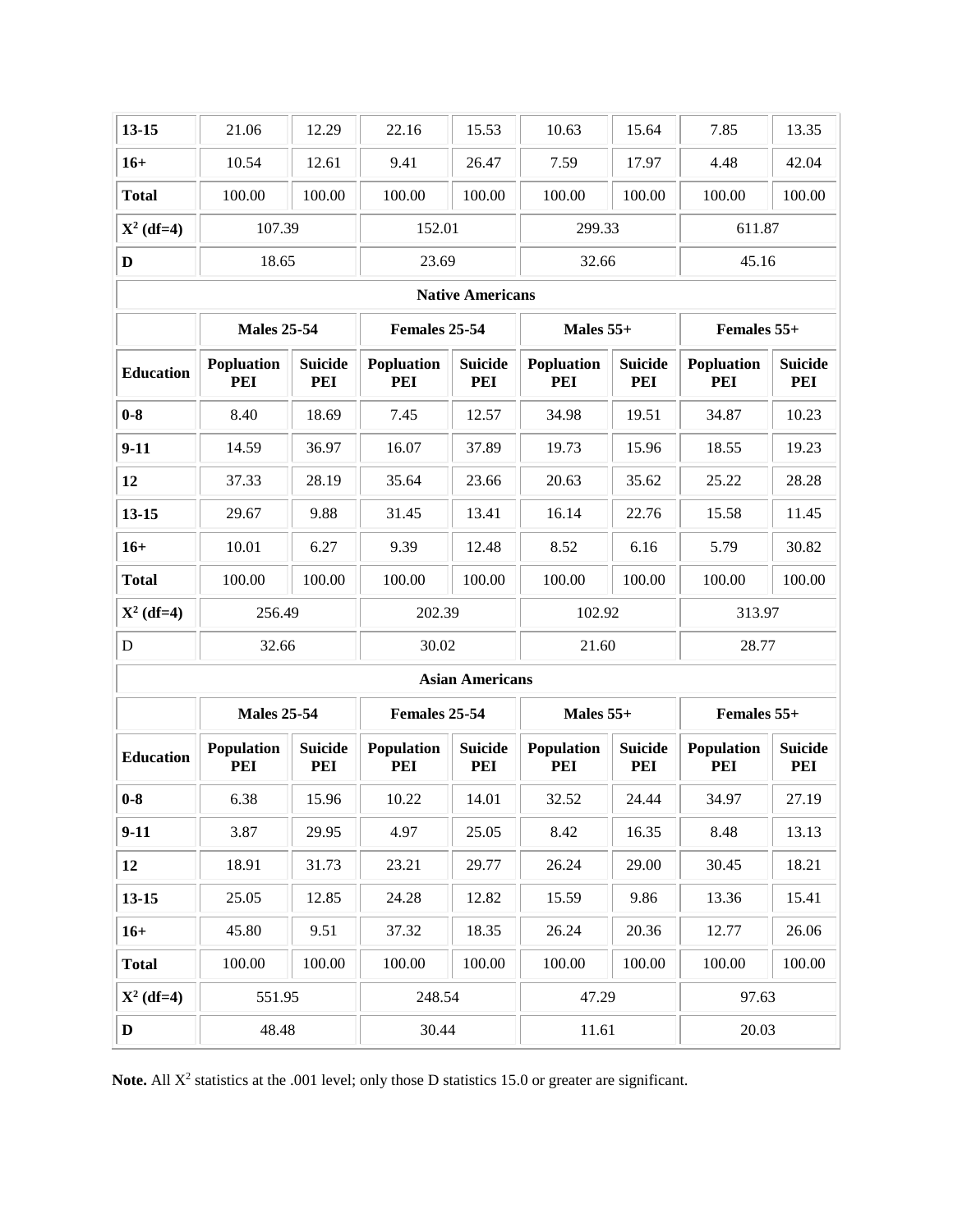| $13 - 15$               | 21.06                               | 12.29                                              | 22.16                    | 15.53                  | 10.63             | 15.64                 | 7.85                     | 13.35                 |  |  |  |
|-------------------------|-------------------------------------|----------------------------------------------------|--------------------------|------------------------|-------------------|-----------------------|--------------------------|-----------------------|--|--|--|
| $16+$                   | 10.54                               | 12.61                                              | 9.41                     | 26.47                  | 7.59              | 17.97                 | 4.48                     | 42.04                 |  |  |  |
| <b>Total</b>            | 100.00                              | 100.00                                             | 100.00                   | 100.00                 | 100.00            | 100.00                | 100.00                   | 100.00                |  |  |  |
| $X^2$ (df=4)            | 107.39                              |                                                    | 152.01                   |                        | 299.33            |                       | 611.87                   |                       |  |  |  |
| $\mathbf D$             | 18.65                               |                                                    | 23.69                    |                        | 32.66             |                       | 45.16                    |                       |  |  |  |
| <b>Native Americans</b> |                                     |                                                    |                          |                        |                   |                       |                          |                       |  |  |  |
|                         |                                     | Females 25-54<br><b>Males 25-54</b><br>Males $55+$ |                          |                        | Females 55+       |                       |                          |                       |  |  |  |
| <b>Education</b>        | Popluation<br>PEI                   | <b>Suicide</b><br>PEI                              | Popluation<br>PEI        | <b>Suicide</b><br>PEI  | Popluation<br>PEI | <b>Suicide</b><br>PEI | Popluation<br>PEI        | <b>Suicide</b><br>PEI |  |  |  |
| $0-8$                   | 8.40                                | 18.69                                              | 7.45                     | 12.57                  | 34.98             | 19.51                 | 34.87                    | 10.23                 |  |  |  |
| $9-11$                  | 14.59                               | 36.97                                              | 16.07                    | 37.89                  | 19.73             | 15.96                 | 18.55                    | 19.23                 |  |  |  |
| 12                      | 37.33                               | 28.19                                              | 35.64                    | 23.66                  | 20.63             | 35.62                 | 25.22                    | 28.28                 |  |  |  |
| $13 - 15$               | 29.67                               | 9.88                                               | 31.45                    | 13.41                  | 16.14             | 22.76                 | 15.58                    | 11.45                 |  |  |  |
| $16+$                   | 10.01                               | 6.27                                               | 9.39                     | 12.48                  | 8.52              | 6.16                  | 5.79                     | 30.82                 |  |  |  |
| <b>Total</b>            | 100.00                              | 100.00                                             | 100.00                   | 100.00                 | 100.00            | 100.00                | 100.00                   | 100.00                |  |  |  |
| $X^2$ (df=4)            | 256.49                              |                                                    | 202.39                   |                        | 102.92            |                       | 313.97                   |                       |  |  |  |
| $\mathbf D$             | 32.66                               |                                                    | 30.02                    |                        | 21.60             |                       | 28.77                    |                       |  |  |  |
|                         |                                     |                                                    |                          | <b>Asian Americans</b> |                   |                       |                          |                       |  |  |  |
|                         | <b>Males 25-54</b><br>Females 25-54 |                                                    | Males $55+$              |                        | Females 55+       |                       |                          |                       |  |  |  |
| <b>Education</b>        | Population<br>PEI                   | <b>Suicide</b><br>PEI                              | Population<br><b>PEI</b> | <b>Suicide</b><br>PEI  | Population<br>PEI | <b>Suicide</b><br>PEI | <b>Population</b><br>PEI | <b>Suicide</b><br>PEI |  |  |  |
| $0-8$                   | 6.38                                | 15.96                                              | 10.22                    | 14.01                  | 32.52             | 24.44                 | 34.97                    | 27.19                 |  |  |  |
| $9-11$                  | 3.87                                | 29.95                                              | 4.97                     | 25.05                  | 8.42              | 16.35                 | 8.48                     | 13.13                 |  |  |  |
| 12                      | 18.91                               | 31.73                                              | 23.21                    | 29.77                  | 26.24             | 29.00                 | 30.45                    | 18.21                 |  |  |  |
| $13 - 15$               | 25.05                               | 12.85                                              | 24.28                    | 12.82                  | 15.59             | 9.86                  | 13.36                    | 15.41                 |  |  |  |
| $16+$                   | 45.80                               | 9.51                                               | 37.32                    | 18.35                  | 26.24             | 20.36                 | 12.77                    | 26.06                 |  |  |  |
| <b>Total</b>            | 100.00                              | 100.00                                             | 100.00                   | 100.00                 | 100.00            | 100.00                | 100.00                   | 100.00                |  |  |  |
| $X^2$ (df=4)            | 551.95                              |                                                    | 248.54                   |                        | 47.29             |                       | 97.63                    |                       |  |  |  |
| $\mathbf{D}$            | 48.48                               |                                                    | 30.44                    |                        | 11.61             |                       | 20.03                    |                       |  |  |  |

Note. All X<sup>2</sup> statistics at the .001 level; only those D statistics 15.0 or greater are significant.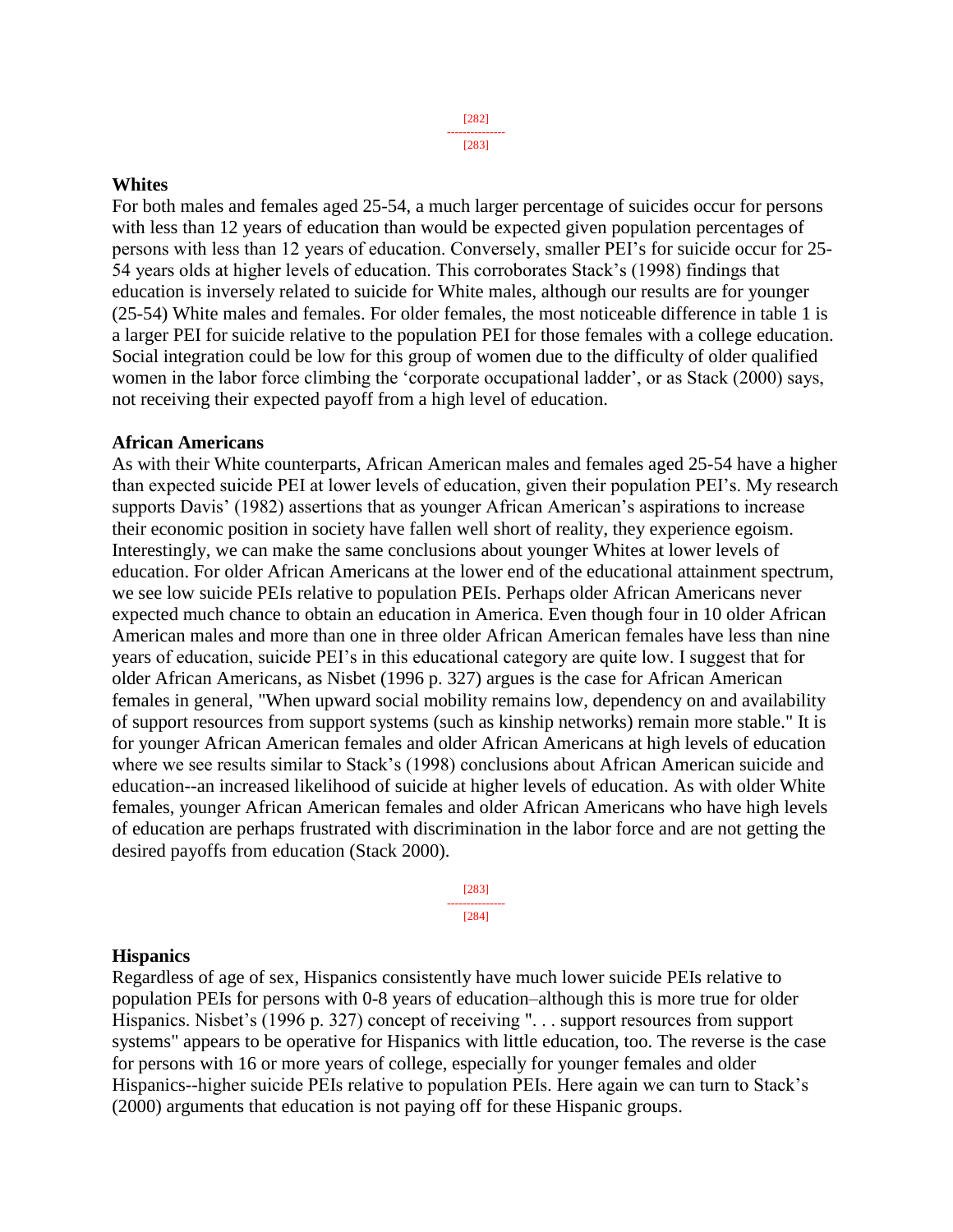[283]

#### **Whites**

For both males and females aged 25-54, a much larger percentage of suicides occur for persons with less than 12 years of education than would be expected given population percentages of persons with less than 12 years of education. Conversely, smaller PEI's for suicide occur for 25- 54 years olds at higher levels of education. This corroborates Stack's (1998) findings that education is inversely related to suicide for White males, although our results are for younger (25-54) White males and females. For older females, the most noticeable difference in table 1 is a larger PEI for suicide relative to the population PEI for those females with a college education. Social integration could be low for this group of women due to the difficulty of older qualified women in the labor force climbing the 'corporate occupational ladder', or as Stack (2000) says, not receiving their expected payoff from a high level of education.

#### **African Americans**

As with their White counterparts, African American males and females aged 25-54 have a higher than expected suicide PEI at lower levels of education, given their population PEI's. My research supports Davis' (1982) assertions that as younger African American's aspirations to increase their economic position in society have fallen well short of reality, they experience egoism. Interestingly, we can make the same conclusions about younger Whites at lower levels of education. For older African Americans at the lower end of the educational attainment spectrum, we see low suicide PEIs relative to population PEIs. Perhaps older African Americans never expected much chance to obtain an education in America. Even though four in 10 older African American males and more than one in three older African American females have less than nine years of education, suicide PEI's in this educational category are quite low. I suggest that for older African Americans, as Nisbet (1996 p. 327) argues is the case for African American females in general, "When upward social mobility remains low, dependency on and availability of support resources from support systems (such as kinship networks) remain more stable." It is for younger African American females and older African Americans at high levels of education where we see results similar to Stack's (1998) conclusions about African American suicide and education--an increased likelihood of suicide at higher levels of education. As with older White females, younger African American females and older African Americans who have high levels of education are perhaps frustrated with discrimination in the labor force and are not getting the desired payoffs from education (Stack 2000).

> [283] --------------- [284]

## **Hispanics**

Regardless of age of sex, Hispanics consistently have much lower suicide PEIs relative to population PEIs for persons with 0-8 years of education–although this is more true for older Hispanics. Nisbet's (1996 p. 327) concept of receiving ". . . support resources from support systems" appears to be operative for Hispanics with little education, too. The reverse is the case for persons with 16 or more years of college, especially for younger females and older Hispanics--higher suicide PEIs relative to population PEIs. Here again we can turn to Stack's (2000) arguments that education is not paying off for these Hispanic groups.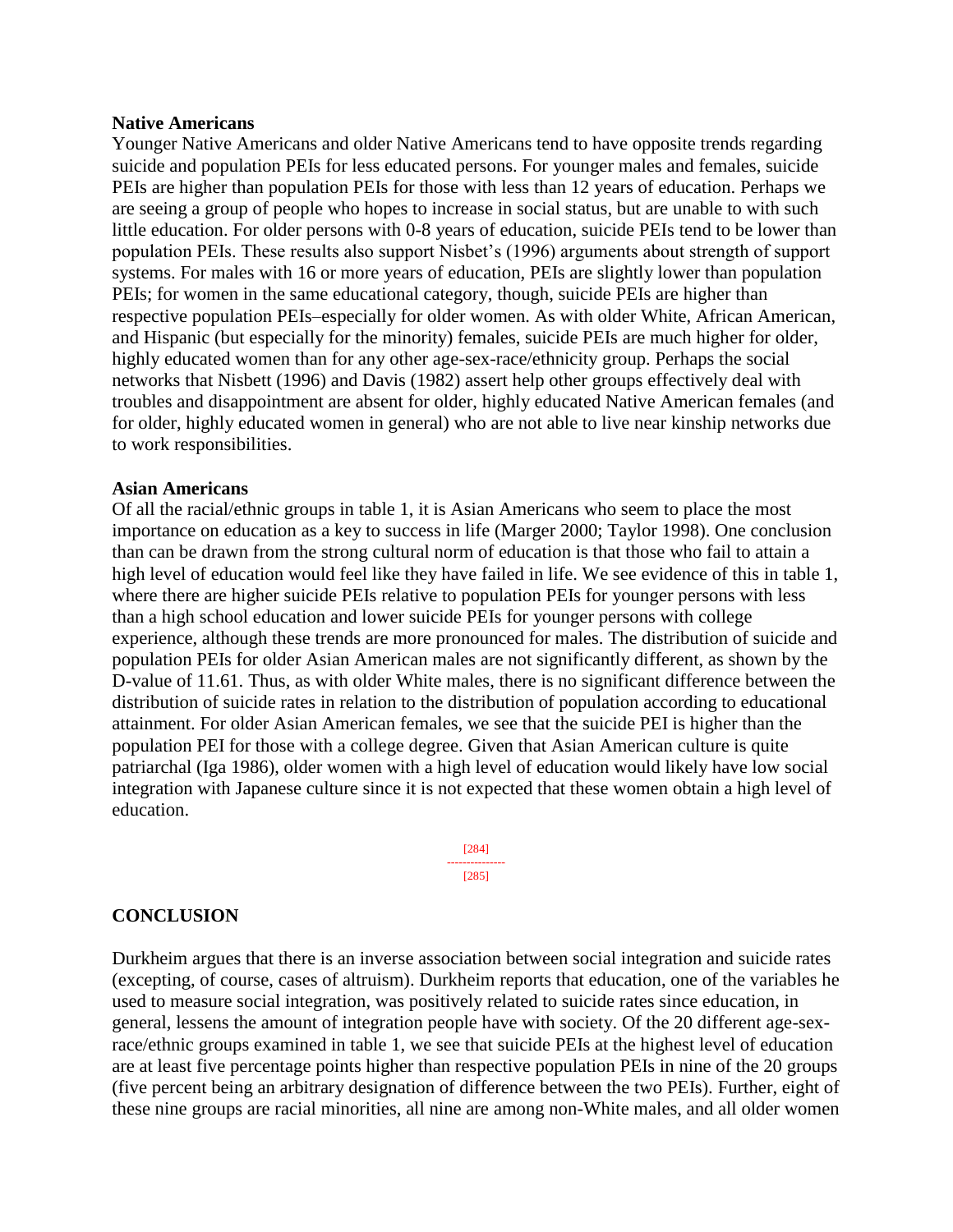#### **Native Americans**

Younger Native Americans and older Native Americans tend to have opposite trends regarding suicide and population PEIs for less educated persons. For younger males and females, suicide PEIs are higher than population PEIs for those with less than 12 years of education. Perhaps we are seeing a group of people who hopes to increase in social status, but are unable to with such little education. For older persons with 0-8 years of education, suicide PEIs tend to be lower than population PEIs. These results also support Nisbet's (1996) arguments about strength of support systems. For males with 16 or more years of education, PEIs are slightly lower than population PEIs; for women in the same educational category, though, suicide PEIs are higher than respective population PEIs–especially for older women. As with older White, African American, and Hispanic (but especially for the minority) females, suicide PEIs are much higher for older, highly educated women than for any other age-sex-race/ethnicity group. Perhaps the social networks that Nisbett (1996) and Davis (1982) assert help other groups effectively deal with troubles and disappointment are absent for older, highly educated Native American females (and for older, highly educated women in general) who are not able to live near kinship networks due to work responsibilities.

#### **Asian Americans**

Of all the racial/ethnic groups in table 1, it is Asian Americans who seem to place the most importance on education as a key to success in life (Marger 2000; Taylor 1998). One conclusion than can be drawn from the strong cultural norm of education is that those who fail to attain a high level of education would feel like they have failed in life. We see evidence of this in table 1, where there are higher suicide PEIs relative to population PEIs for younger persons with less than a high school education and lower suicide PEIs for younger persons with college experience, although these trends are more pronounced for males. The distribution of suicide and population PEIs for older Asian American males are not significantly different, as shown by the D-value of 11.61. Thus, as with older White males, there is no significant difference between the distribution of suicide rates in relation to the distribution of population according to educational attainment. For older Asian American females, we see that the suicide PEI is higher than the population PEI for those with a college degree. Given that Asian American culture is quite patriarchal (Iga 1986), older women with a high level of education would likely have low social integration with Japanese culture since it is not expected that these women obtain a high level of education.

> [284] --------------- [285]

#### **CONCLUSION**

Durkheim argues that there is an inverse association between social integration and suicide rates (excepting, of course, cases of altruism). Durkheim reports that education, one of the variables he used to measure social integration, was positively related to suicide rates since education, in general, lessens the amount of integration people have with society. Of the 20 different age-sexrace/ethnic groups examined in table 1, we see that suicide PEIs at the highest level of education are at least five percentage points higher than respective population PEIs in nine of the 20 groups (five percent being an arbitrary designation of difference between the two PEIs). Further, eight of these nine groups are racial minorities, all nine are among non-White males, and all older women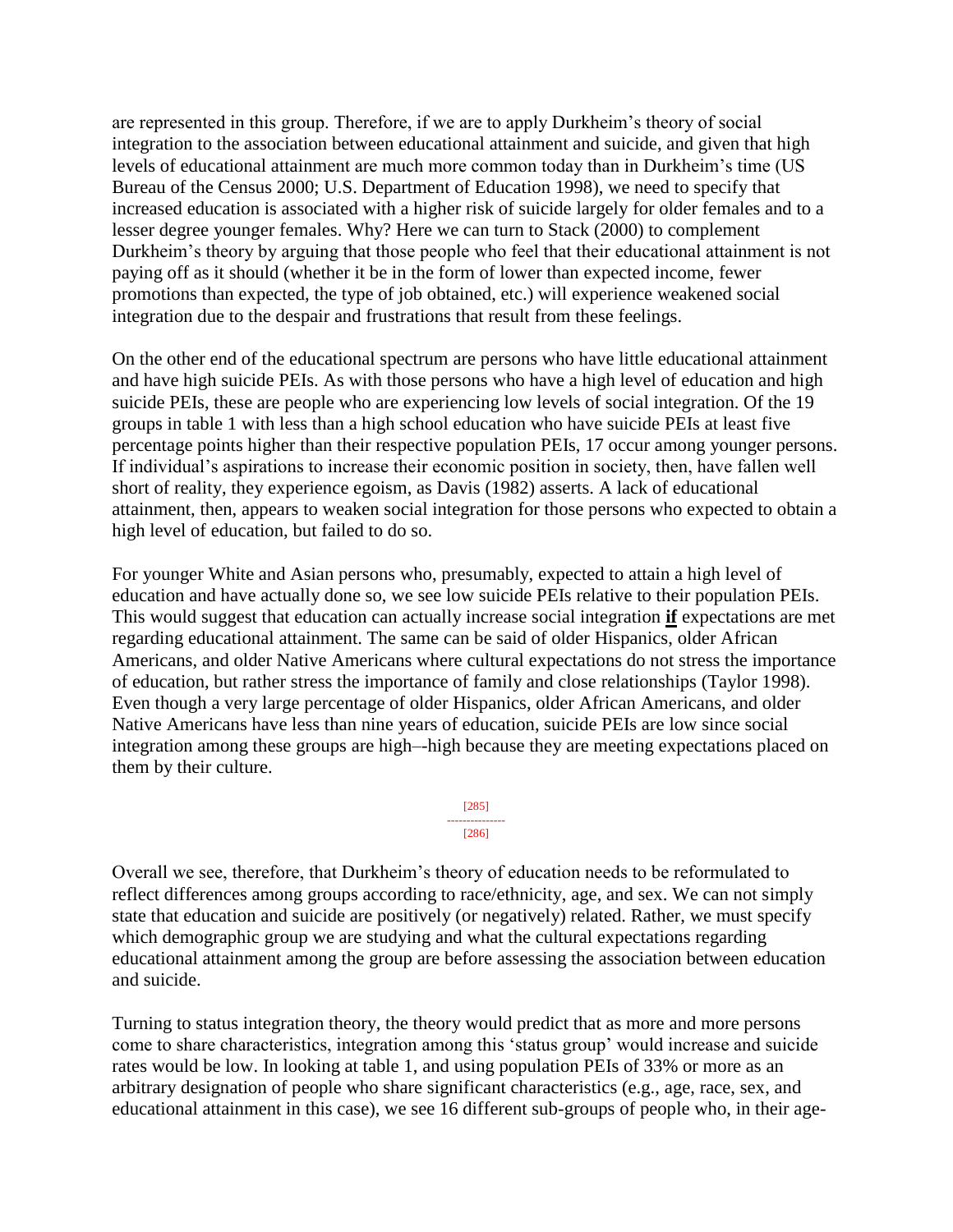are represented in this group. Therefore, if we are to apply Durkheim's theory of social integration to the association between educational attainment and suicide, and given that high levels of educational attainment are much more common today than in Durkheim's time (US Bureau of the Census 2000; U.S. Department of Education 1998), we need to specify that increased education is associated with a higher risk of suicide largely for older females and to a lesser degree younger females. Why? Here we can turn to Stack (2000) to complement Durkheim's theory by arguing that those people who feel that their educational attainment is not paying off as it should (whether it be in the form of lower than expected income, fewer promotions than expected, the type of job obtained, etc.) will experience weakened social integration due to the despair and frustrations that result from these feelings.

On the other end of the educational spectrum are persons who have little educational attainment and have high suicide PEIs. As with those persons who have a high level of education and high suicide PEIs, these are people who are experiencing low levels of social integration. Of the 19 groups in table 1 with less than a high school education who have suicide PEIs at least five percentage points higher than their respective population PEIs, 17 occur among younger persons. If individual's aspirations to increase their economic position in society, then, have fallen well short of reality, they experience egoism, as Davis (1982) asserts. A lack of educational attainment, then, appears to weaken social integration for those persons who expected to obtain a high level of education, but failed to do so.

For younger White and Asian persons who, presumably, expected to attain a high level of education and have actually done so, we see low suicide PEIs relative to their population PEIs. This would suggest that education can actually increase social integration **if** expectations are met regarding educational attainment. The same can be said of older Hispanics, older African Americans, and older Native Americans where cultural expectations do not stress the importance of education, but rather stress the importance of family and close relationships (Taylor 1998). Even though a very large percentage of older Hispanics, older African Americans, and older Native Americans have less than nine years of education, suicide PEIs are low since social integration among these groups are high–-high because they are meeting expectations placed on them by their culture.

> [285] --------------- [286]

Overall we see, therefore, that Durkheim's theory of education needs to be reformulated to reflect differences among groups according to race/ethnicity, age, and sex. We can not simply state that education and suicide are positively (or negatively) related. Rather, we must specify which demographic group we are studying and what the cultural expectations regarding educational attainment among the group are before assessing the association between education and suicide.

Turning to status integration theory, the theory would predict that as more and more persons come to share characteristics, integration among this 'status group' would increase and suicide rates would be low. In looking at table 1, and using population PEIs of 33% or more as an arbitrary designation of people who share significant characteristics (e.g., age, race, sex, and educational attainment in this case), we see 16 different sub-groups of people who, in their age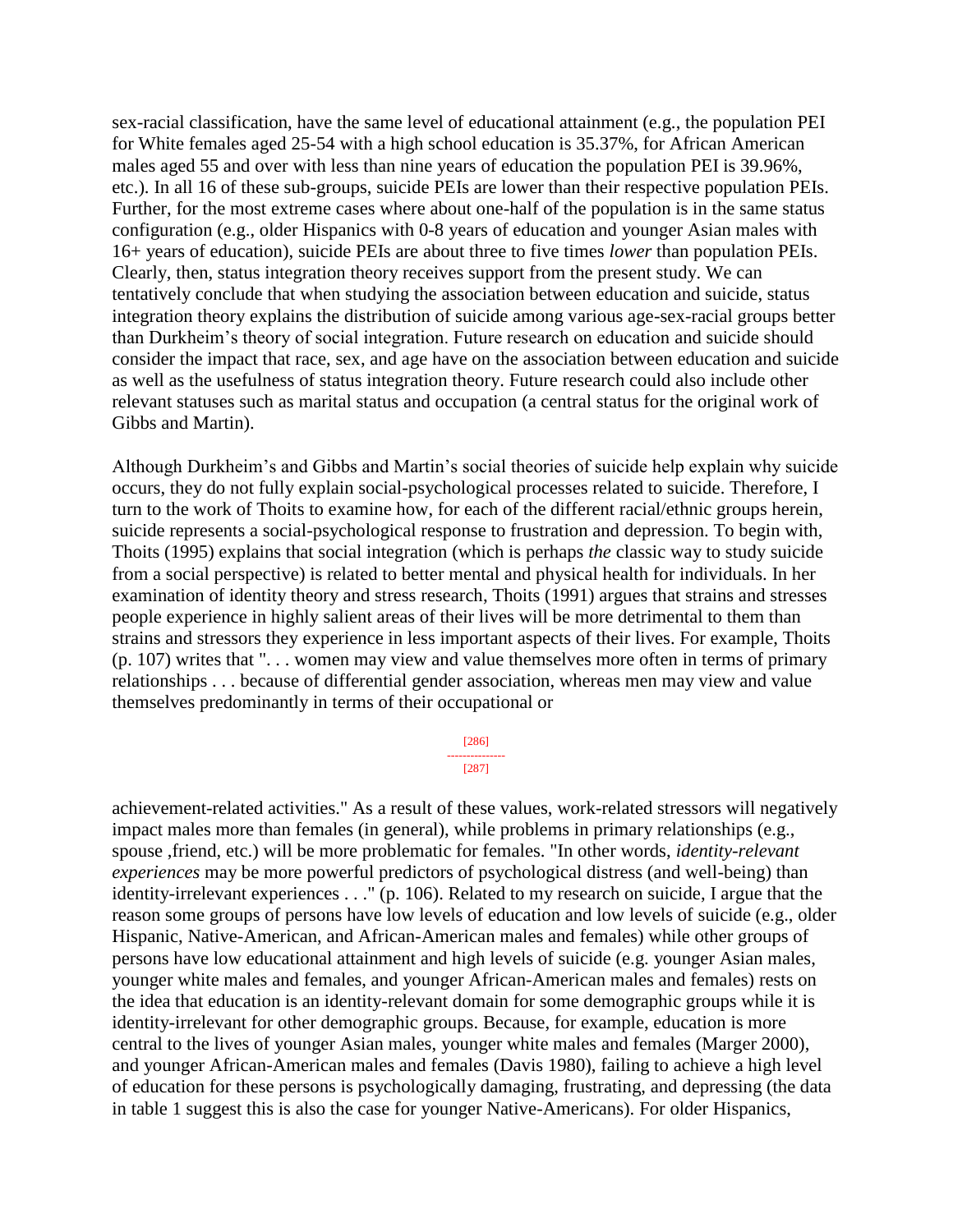sex-racial classification, have the same level of educational attainment (e.g., the population PEI for White females aged 25-54 with a high school education is 35.37%, for African American males aged 55 and over with less than nine years of education the population PEI is 39.96%, etc.). In all 16 of these sub-groups, suicide PEIs are lower than their respective population PEIs. Further, for the most extreme cases where about one-half of the population is in the same status configuration (e.g., older Hispanics with 0-8 years of education and younger Asian males with 16+ years of education), suicide PEIs are about three to five times *lower* than population PEIs. Clearly, then, status integration theory receives support from the present study. We can tentatively conclude that when studying the association between education and suicide, status integration theory explains the distribution of suicide among various age-sex-racial groups better than Durkheim's theory of social integration. Future research on education and suicide should consider the impact that race, sex, and age have on the association between education and suicide as well as the usefulness of status integration theory. Future research could also include other relevant statuses such as marital status and occupation (a central status for the original work of Gibbs and Martin).

Although Durkheim's and Gibbs and Martin's social theories of suicide help explain why suicide occurs, they do not fully explain social-psychological processes related to suicide. Therefore, I turn to the work of Thoits to examine how, for each of the different racial/ethnic groups herein, suicide represents a social-psychological response to frustration and depression. To begin with, Thoits (1995) explains that social integration (which is perhaps *the* classic way to study suicide from a social perspective) is related to better mental and physical health for individuals. In her examination of identity theory and stress research, Thoits (1991) argues that strains and stresses people experience in highly salient areas of their lives will be more detrimental to them than strains and stressors they experience in less important aspects of their lives. For example, Thoits (p. 107) writes that ". . . women may view and value themselves more often in terms of primary relationships . . . because of differential gender association, whereas men may view and value themselves predominantly in terms of their occupational or

> [286] --------------- [287]

achievement-related activities." As a result of these values, work-related stressors will negatively impact males more than females (in general), while problems in primary relationships (e.g., spouse ,friend, etc.) will be more problematic for females. "In other words, *identity-relevant experiences* may be more powerful predictors of psychological distress (and well-being) than identity-irrelevant experiences . . ." (p. 106). Related to my research on suicide, I argue that the reason some groups of persons have low levels of education and low levels of suicide (e.g., older Hispanic, Native-American, and African-American males and females) while other groups of persons have low educational attainment and high levels of suicide (e.g. younger Asian males, younger white males and females, and younger African-American males and females) rests on the idea that education is an identity-relevant domain for some demographic groups while it is identity-irrelevant for other demographic groups. Because, for example, education is more central to the lives of younger Asian males, younger white males and females (Marger 2000), and younger African-American males and females (Davis 1980), failing to achieve a high level of education for these persons is psychologically damaging, frustrating, and depressing (the data in table 1 suggest this is also the case for younger Native-Americans). For older Hispanics,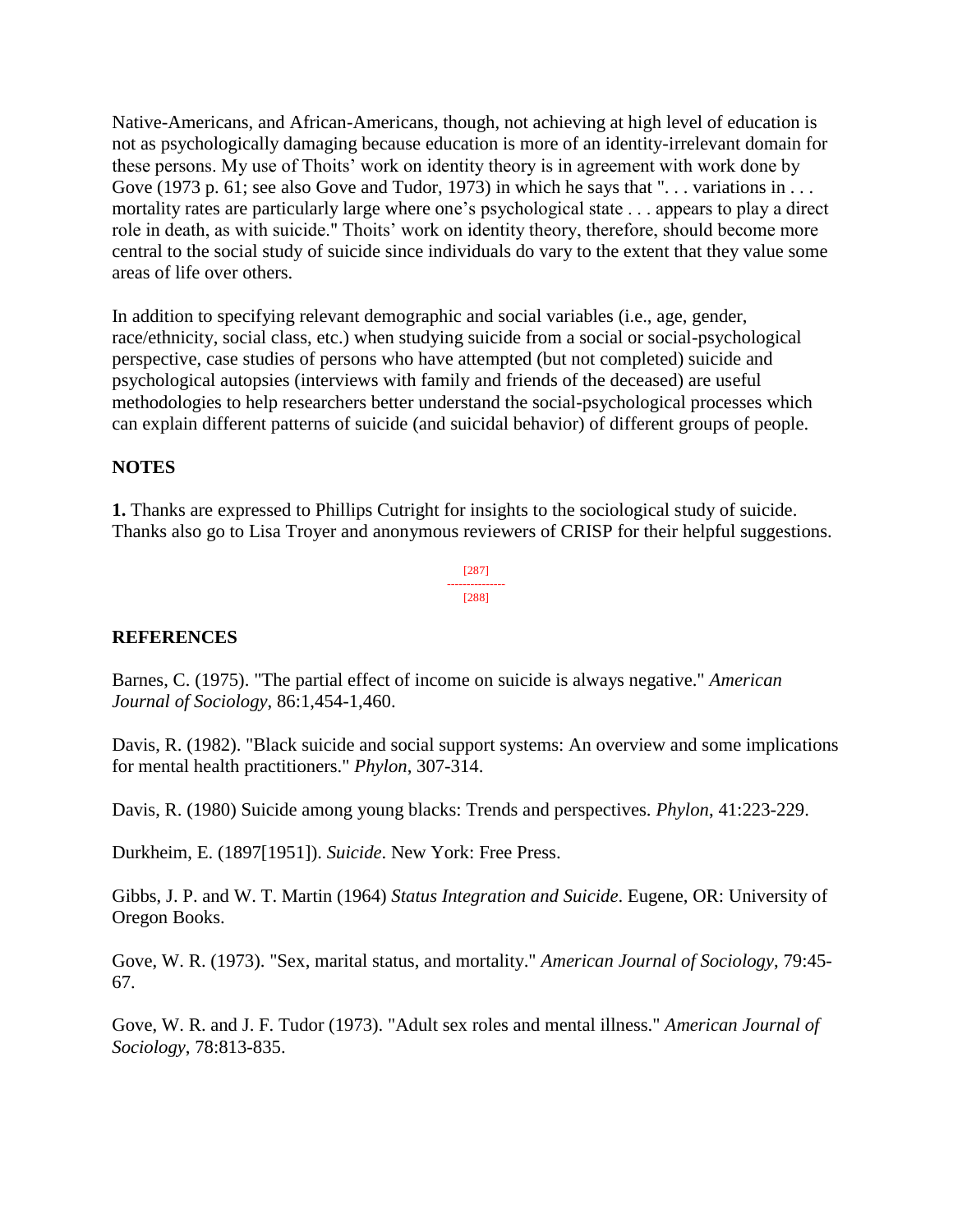Native-Americans, and African-Americans, though, not achieving at high level of education is not as psychologically damaging because education is more of an identity-irrelevant domain for these persons. My use of Thoits' work on identity theory is in agreement with work done by Gove (1973 p. 61; see also Gove and Tudor, 1973) in which he says that " $\dots$  variations in  $\dots$ mortality rates are particularly large where one's psychological state . . . appears to play a direct role in death, as with suicide." Thoits' work on identity theory, therefore, should become more central to the social study of suicide since individuals do vary to the extent that they value some areas of life over others.

In addition to specifying relevant demographic and social variables (i.e., age, gender, race/ethnicity, social class, etc.) when studying suicide from a social or social-psychological perspective, case studies of persons who have attempted (but not completed) suicide and psychological autopsies (interviews with family and friends of the deceased) are useful methodologies to help researchers better understand the social-psychological processes which can explain different patterns of suicide (and suicidal behavior) of different groups of people.

## **NOTES**

**1.** Thanks are expressed to Phillips Cutright for insights to the sociological study of suicide. Thanks also go to Lisa Troyer and anonymous reviewers of CRISP for their helpful suggestions.

> [287] --------------- [288]

#### **REFERENCES**

Barnes, C. (1975). "The partial effect of income on suicide is always negative." *American Journal of Sociology*, 86:1,454-1,460.

Davis, R. (1982). "Black suicide and social support systems: An overview and some implications for mental health practitioners." *Phylon*, 307-314.

Davis, R. (1980) Suicide among young blacks: Trends and perspectives. *Phylon*, 41:223-229.

Durkheim, E. (1897[1951]). *Suicide*. New York: Free Press.

Gibbs, J. P. and W. T. Martin (1964) *Status Integration and Suicide*. Eugene, OR: University of Oregon Books.

Gove, W. R. (1973). "Sex, marital status, and mortality." *American Journal of Sociology*, 79:45- 67.

Gove, W. R. and J. F. Tudor (1973). "Adult sex roles and mental illness." *American Journal of Sociology*, 78:813-835.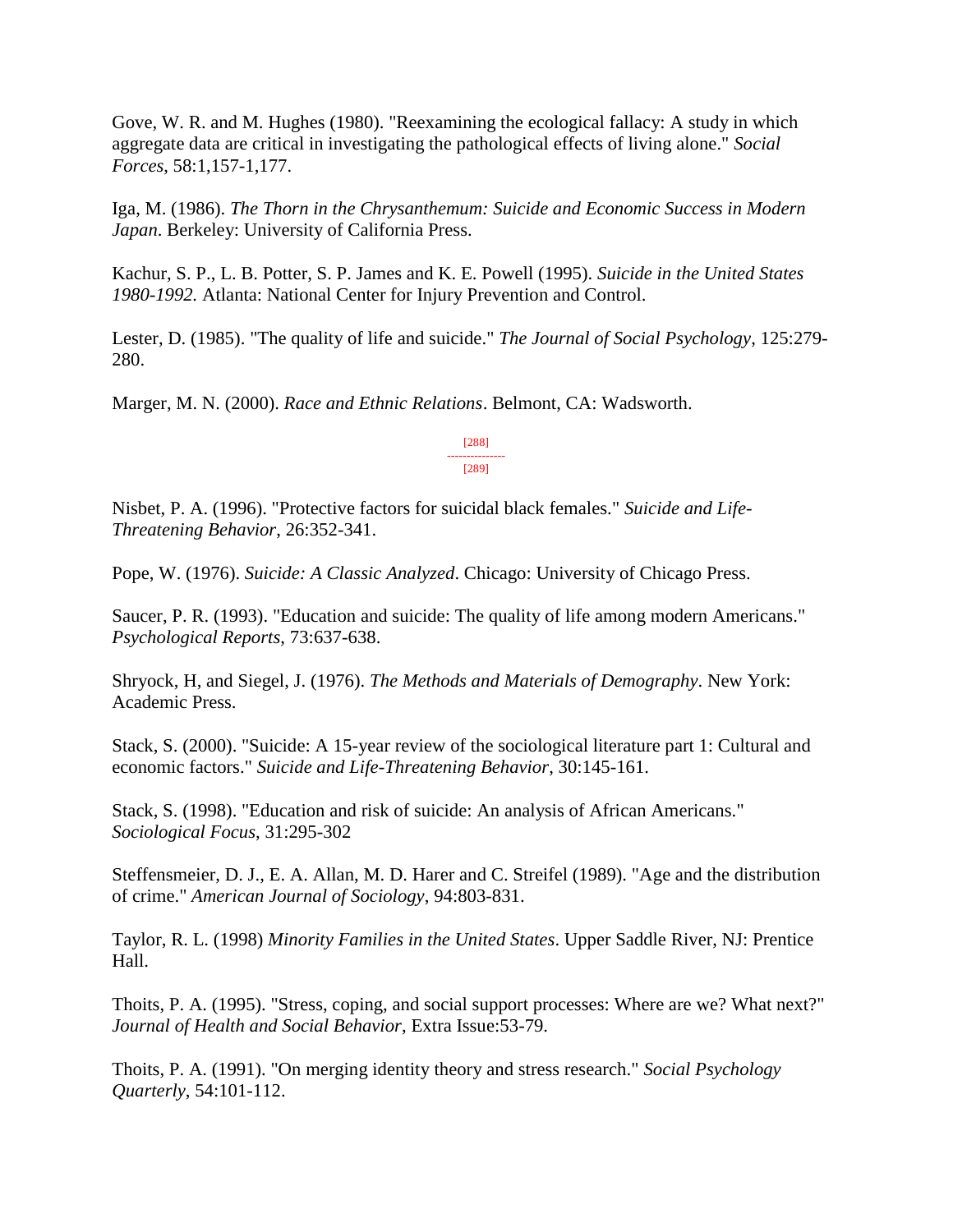Gove, W. R. and M. Hughes (1980). "Reexamining the ecological fallacy: A study in which aggregate data are critical in investigating the pathological effects of living alone." *Social Forces*, 58:1,157-1,177.

Iga, M. (1986). *The Thorn in the Chrysanthemum: Suicide and Economic Success in Modern Japan*. Berkeley: University of California Press.

Kachur, S. P., L. B. Potter, S. P. James and K. E. Powell (1995). *Suicide in the United States 1980-1992.* Atlanta: National Center for Injury Prevention and Control.

Lester, D. (1985). "The quality of life and suicide." *The Journal of Social Psychology*, 125:279- 280.

Marger, M. N. (2000). *Race and Ethnic Relations*. Belmont, CA: Wadsworth.

[288] --------------- [289]

Nisbet, P. A. (1996). "Protective factors for suicidal black females." *Suicide and Life-Threatening Behavior*, 26:352-341.

Pope, W. (1976). *Suicide: A Classic Analyzed*. Chicago: University of Chicago Press.

Saucer, P. R. (1993). "Education and suicide: The quality of life among modern Americans." *Psychological Reports*, 73:637-638.

Shryock, H, and Siegel, J. (1976). *The Methods and Materials of Demography*. New York: Academic Press.

Stack, S. (2000). "Suicide: A 15-year review of the sociological literature part 1: Cultural and economic factors." *Suicide and Life-Threatening Behavior*, 30:145-161.

Stack, S. (1998). "Education and risk of suicide: An analysis of African Americans." *Sociological Focus*, 31:295-302

Steffensmeier, D. J., E. A. Allan, M. D. Harer and C. Streifel (1989). "Age and the distribution of crime." *American Journal of Sociology*, 94:803-831.

Taylor, R. L. (1998) *Minority Families in the United States*. Upper Saddle River, NJ: Prentice Hall.

Thoits, P. A. (1995). "Stress, coping, and social support processes: Where are we? What next?" *Journal of Health and Social Behavior*, Extra Issue:53-79.

Thoits, P. A. (1991). "On merging identity theory and stress research." *Social Psychology Quarterly*, 54:101-112.